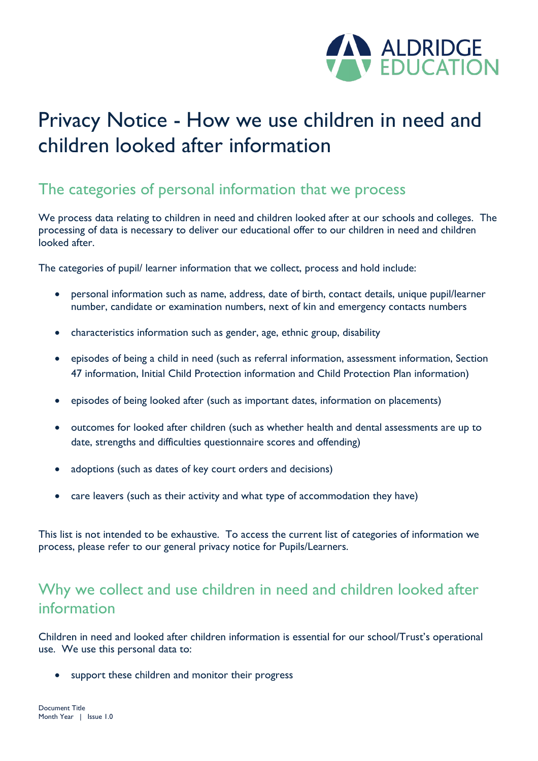

# Privacy Notice - How we use children in need and children looked after information

#### The categories of personal information that we process

We process data relating to children in need and children looked after at our schools and colleges. The processing of data is necessary to deliver our educational offer to our children in need and children looked after.

The categories of pupil/ learner information that we collect, process and hold include:

- personal information such as name, address, date of birth, contact details, unique pupil/learner number, candidate or examination numbers, next of kin and emergency contacts numbers
- characteristics information such as gender, age, ethnic group, disability
- episodes of being a child in need (such as referral information, assessment information, Section 47 information, Initial Child Protection information and Child Protection Plan information)
- episodes of being looked after (such as important dates, information on placements)
- outcomes for looked after children (such as whether health and dental assessments are up to date, strengths and difficulties questionnaire scores and offending)
- adoptions (such as dates of key court orders and decisions)
- care leavers (such as their activity and what type of accommodation they have)

This list is not intended to be exhaustive. To access the current list of categories of information we process, please refer to our general privacy notice for Pupils/Learners.

## Why we collect and use children in need and children looked after information

Children in need and looked after children information is essential for our school/Trust's operational use. We use this personal data to:

support these children and monitor their progress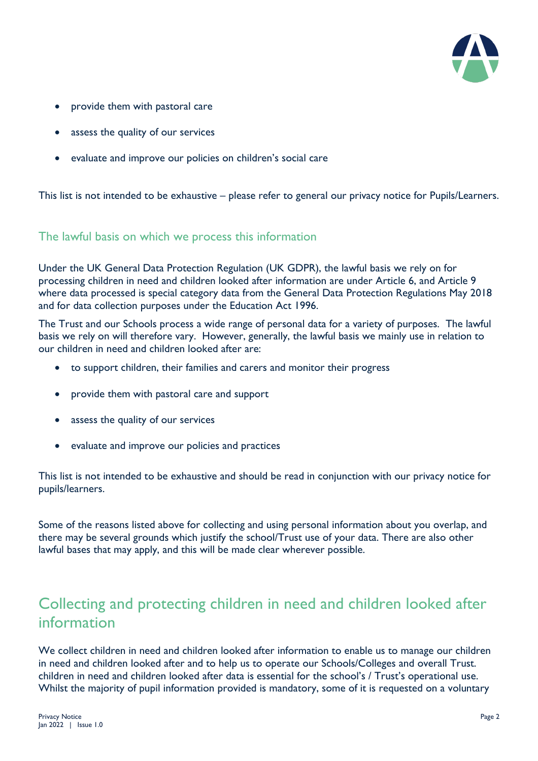

- provide them with pastoral care
- assess the quality of our services
- evaluate and improve our policies on children's social care

This list is not intended to be exhaustive – please refer to general our privacy notice for Pupils/Learners.

#### The lawful basis on which we process this information

Under the UK General Data Protection Regulation (UK GDPR), the lawful basis we rely on for processing children in need and children looked after information are under Article 6, and Article 9 where data processed is special category data from the General Data Protection Regulations May 2018 and for data collection purposes under the Education Act 1996.

The Trust and our Schools process a wide range of personal data for a variety of purposes. The lawful basis we rely on will therefore vary. However, generally, the lawful basis we mainly use in relation to our children in need and children looked after are:

- to support children, their families and carers and monitor their progress
- provide them with pastoral care and support
- assess the quality of our services
- evaluate and improve our policies and practices

This list is not intended to be exhaustive and should be read in conjunction with our privacy notice for pupils/learners.

Some of the reasons listed above for collecting and using personal information about you overlap, and there may be several grounds which justify the school/Trust use of your data. There are also other lawful bases that may apply, and this will be made clear wherever possible.

## Collecting and protecting children in need and children looked after information

We collect children in need and children looked after information to enable us to manage our children in need and children looked after and to help us to operate our Schools/Colleges and overall Trust. children in need and children looked after data is essential for the school's / Trust's operational use. Whilst the majority of pupil information provided is mandatory, some of it is requested on a voluntary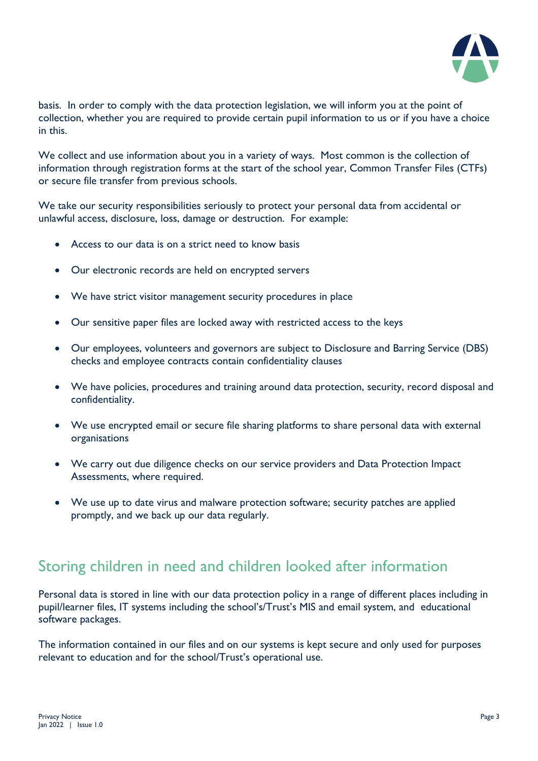

basis. In order to comply with the data protection legislation, we will inform you at the point of collection, whether you are required to provide certain pupil information to us or if you have a choice in this.

We collect and use information about you in a variety of ways. Most common is the collection of information through registration forms at the start of the school year, Common Transfer Files (CTFs) or secure file transfer from previous schools.

We take our security responsibilities seriously to protect your personal data from accidental or unlawful access, disclosure, loss, damage or destruction. For example:

- Access to our data is on a strict need to know basis
- Our electronic records are held on encrypted servers
- We have strict visitor management security procedures in place
- Our sensitive paper files are locked away with restricted access to the keys
- Our employees, volunteers and governors are subject to Disclosure and Barring Service (DBS) checks and employee contracts contain confidentiality clauses
- We have policies, procedures and training around data protection, security, record disposal and confidentiality.
- We use encrypted email or secure file sharing platforms to share personal data with external organisations
- We carry out due diligence checks on our service providers and Data Protection Impact Assessments, where required.
- We use up to date virus and malware protection software; security patches are applied promptly, and we back up our data regularly.

### Storing children in need and children looked after information

Personal data is stored in line with our data protection policy in a range of different places including in pupil/learner files, IT systems including the school's/Trust's MIS and email system, and educational software packages.

The information contained in our files and on our systems is kept secure and only used for purposes relevant to education and for the school/Trust's operational use.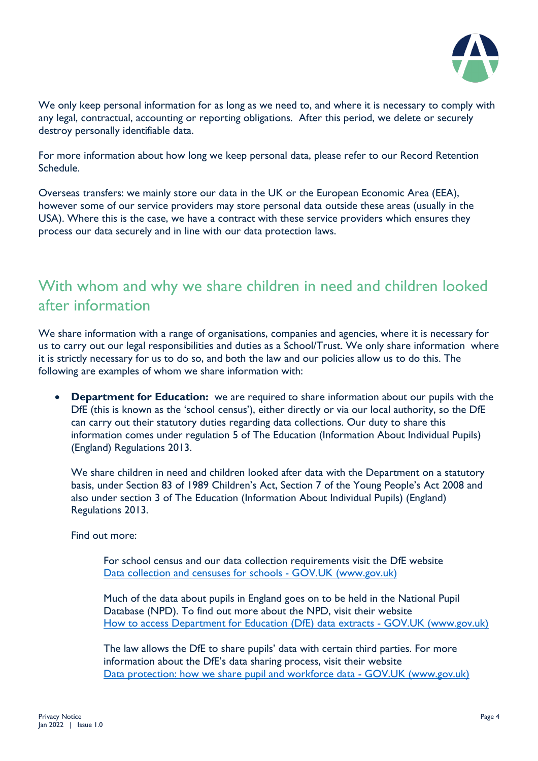

We only keep personal information for as long as we need to, and where it is necessary to comply with any legal, contractual, accounting or reporting obligations. After this period, we delete or securely destroy personally identifiable data.

For more information about how long we keep personal data, please refer to our Record Retention Schedule.

Overseas transfers: we mainly store our data in the UK or the European Economic Area (EEA), however some of our service providers may store personal data outside these areas (usually in the USA). Where this is the case, we have a contract with these service providers which ensures they process our data securely and in line with our data protection laws.

#### With whom and why we share children in need and children looked after information

We share information with a range of organisations, companies and agencies, where it is necessary for us to carry out our legal responsibilities and duties as a School/Trust. We only share information where it is strictly necessary for us to do so, and both the law and our policies allow us to do this. The following are examples of whom we share information with:

**Department for Education:** we are required to share information about our pupils with the DfE (this is known as the 'school census'), either directly or via our local authority, so the DfE can carry out their statutory duties regarding data collections. Our duty to share this information comes under regulation 5 of The Education (Information About Individual Pupils) (England) Regulations 2013.

We share children in need and children looked after data with the Department on a statutory basis, under Section 83 of 1989 Children's Act, Section 7 of the Young People's Act 2008 and also under section 3 of The Education (Information About Individual Pupils) (England) Regulations 2013.

Find out more:

For school census and our data collection requirements visit the DfE website Data collection and censuses for schools - GOV.UK (www.gov.uk)

Much of the data about pupils in England goes on to be held in the National Pupil Database (NPD). To find out more about the NPD, visit their website How to access Department for Education (DfE) data extracts - GOV.UK (www.gov.uk)

The law allows the DfE to share pupils' data with certain third parties. For more information about the DfE's data sharing process, visit their website Data protection: how we share pupil and workforce data - GOV.UK (www.gov.uk)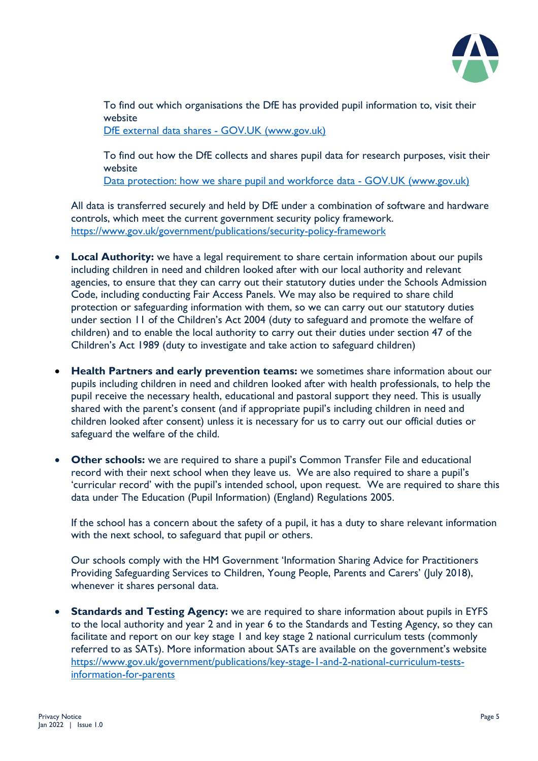

To find out which organisations the DfE has provided pupil information to, visit their website

DfE external data shares - GOV.UK (www.gov.uk)

To find out how the DfE collects and shares pupil data for research purposes, visit their website

[Data protection: how we share pupil and workforce data -](https://www.gov.uk/guidance/data-protection-how-we-collect-and-share-research-data) GOV.UK (www.gov.uk)

All data is transferred securely and held by DfE under a combination of software and hardware controls, which meet the current [government security policy framework.](https://www.gov.uk/government/publications/security-policy-framework) <https://www.gov.uk/government/publications/security-policy-framework>

- **Local Authority:** we have a legal requirement to share certain information about our pupils including children in need and children looked after with our local authority and relevant agencies, to ensure that they can carry out their statutory duties under the Schools Admission Code, including conducting Fair Access Panels. We may also be required to share child protection or safeguarding information with them, so we can carry out our statutory duties under section 11 of the Children's Act 2004 (duty to safeguard and promote the welfare of children) and to enable the local authority to carry out their duties under section 47 of the Children's Act 1989 (duty to investigate and take action to safeguard children)
- **Health Partners and early prevention teams:** we sometimes share information about our pupils including children in need and children looked after with health professionals, to help the pupil receive the necessary health, educational and pastoral support they need. This is usually shared with the parent's consent (and if appropriate pupil's including children in need and children looked after consent) unless it is necessary for us to carry out our official duties or safeguard the welfare of the child.
- **Other schools:** we are required to share a pupil's Common Transfer File and educational record with their next school when they leave us. We are also required to share a pupil's 'curricular record' with the pupil's intended school, upon request. We are required to share this data under The Education (Pupil Information) (England) Regulations 2005.

If the school has a concern about the safety of a pupil, it has a duty to share relevant information with the next school, to safeguard that pupil or others.

Our schools comply with the HM Government 'Information Sharing Advice for Practitioners Providing Safeguarding Services to Children, Young People, Parents and Carers' (July 2018), whenever it shares personal data.

• **Standards and Testing Agency:** we are required to share information about pupils in EYFS to the local authority and year 2 and in year 6 to the Standards and Testing Agency, so they can facilitate and report on our key stage 1 and key stage 2 national curriculum tests (commonly referred to as SATs). More information about SATs are available on the government's website [https://www.gov.uk/government/publications/key-stage-1-and-2-national-curriculum-tests](https://www.gov.uk/government/publications/key-stage-1-and-2-national-curriculum-tests-information-for-parents)[information-for-parents](https://www.gov.uk/government/publications/key-stage-1-and-2-national-curriculum-tests-information-for-parents)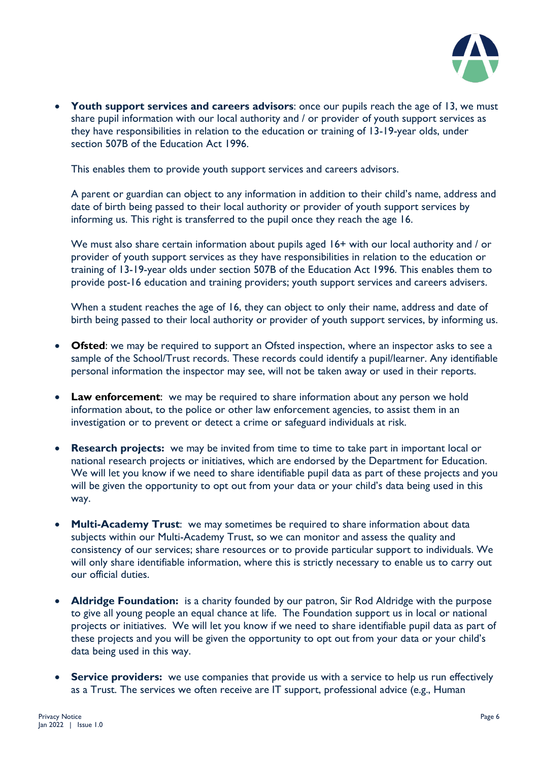

• **Youth support services and careers advisors**: once our pupils reach the age of 13, we must share pupil information with our local authority and / or provider of youth support services as they have responsibilities in relation to the education or training of 13-19-year olds, under section 507B of the Education Act 1996.

This enables them to provide youth support services and careers advisors.

A parent or guardian can object to any information in addition to their child's name, address and date of birth being passed to their local authority or provider of youth support services by informing us. This right is transferred to the pupil once they reach the age 16.

We must also share certain information about pupils aged 16+ with our local authority and / or provider of youth support services as they have responsibilities in relation to the education or training of 13-19-year olds under section 507B of the Education Act 1996. This enables them to provide post-16 education and training providers; youth support services and careers advisers.

When a student reaches the age of 16, they can object to only their name, address and date of birth being passed to their local authority or provider of youth support services, by informing us.

- **Ofsted:** we may be required to support an Ofsted inspection, where an inspector asks to see a sample of the School/Trust records. These records could identify a pupil/learner. Any identifiable personal information the inspector may see, will not be taken away or used in their reports.
- **Law enforcement**: we may be required to share information about any person we hold information about, to the police or other law enforcement agencies, to assist them in an investigation or to prevent or detect a crime or safeguard individuals at risk.
- **Research projects:** we may be invited from time to time to take part in important local or national research projects or initiatives, which are endorsed by the Department for Education. We will let you know if we need to share identifiable pupil data as part of these projects and you will be given the opportunity to opt out from your data or your child's data being used in this way.
- **Multi-Academy Trust**: we may sometimes be required to share information about data subjects within our Multi-Academy Trust, so we can monitor and assess the quality and consistency of our services; share resources or to provide particular support to individuals. We will only share identifiable information, where this is strictly necessary to enable us to carry out our official duties.
- **Aldridge Foundation:** is a charity founded by our patron, Sir Rod Aldridge with the purpose to give all young people an equal chance at life. The Foundation support us in local or national projects or initiatives. We will let you know if we need to share identifiable pupil data as part of these projects and you will be given the opportunity to opt out from your data or your child's data being used in this way.
- **Service providers:** we use companies that provide us with a service to help us run effectively as a Trust. The services we often receive are IT support, professional advice (e.g., Human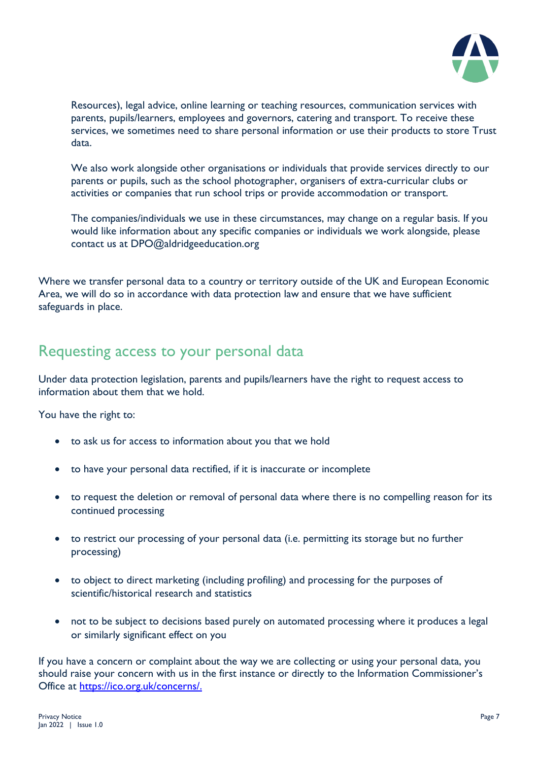

Resources), legal advice, online learning or teaching resources, communication services with parents, pupils/learners, employees and governors, catering and transport. To receive these services, we sometimes need to share personal information or use their products to store Trust data.

We also work alongside other organisations or individuals that provide services directly to our parents or pupils, such as the school photographer, organisers of extra-curricular clubs or activities or companies that run school trips or provide accommodation or transport.

The companies/individuals we use in these circumstances, may change on a regular basis. If you would like information about any specific companies or individuals we work alongside, please contact us at DPO@aldridgeeducation.org

Where we transfer personal data to a country or territory outside of the UK and European Economic Area, we will do so in accordance with data protection law and ensure that we have sufficient safeguards in place.

#### Requesting access to your personal data

Under data protection legislation, parents and pupils/learners have the right to request access to information about them that we hold.

You have the right to:

- to ask us for access to information about you that we hold
- to have your personal data rectified, if it is inaccurate or incomplete
- to request the deletion or removal of personal data where there is no compelling reason for its continued processing
- to restrict our processing of your personal data (i.e. permitting its storage but no further processing)
- to object to direct marketing (including profiling) and processing for the purposes of scientific/historical research and statistics
- not to be subject to decisions based purely on automated processing where it produces a legal or similarly significant effect on you

If you have a concern or complaint about the way we are collecting or using your personal data, you should raise your concern with us in the first instance or directly to the Information Commissioner's Office at [https://ico.org.uk/concerns/.](https://ico.org.uk/concerns/)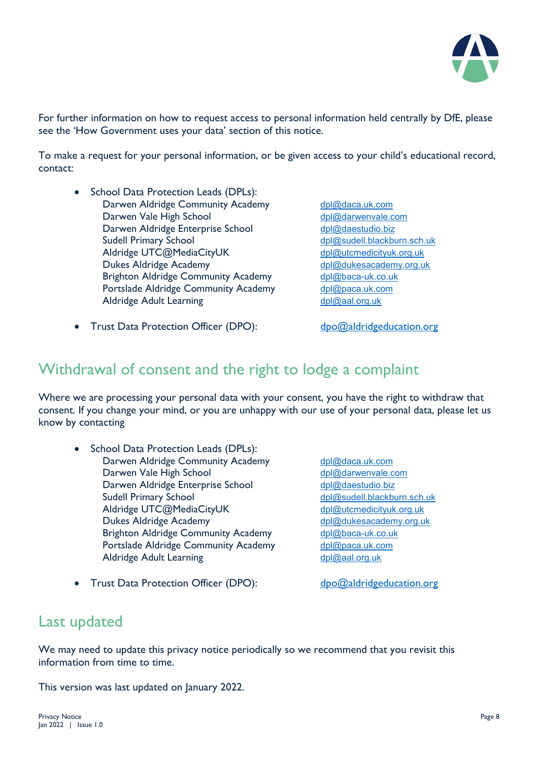

For further information on how to request access to personal information held centrally by DfE, please see the 'How Government uses your data' section of this notice.

To make a request for your personal information, or be given access to your child's educational record, contact:

- School Data Protection Leads (DPLs): Darwen Aldridge Community Academy [dpl@daca.uk.com](mailto:dpl@daca.uk.com) Darwen Vale High School [dpl@darwenvale.com](mailto:dpl@darwenvale.com) Darwen Aldridge Enterprise School [dpl@daestudio.biz](mailto:dpl@daestudio.biz) Sudell Primary School<br>
Aldridge UTC@MediaCityUK
and the [dpl@sudell.blackburn.sch.uk](mailto:dpl@sudell.blackburn.sch.uk)<br>
dpl@utcmedicityuk.org.uk Aldridge UTC@MediaCityUK<br>Dukes Aldridge Academy Brighton Aldridge Community Academy [dpl@baca-uk.co.uk](mailto:dpl@baca-uk.co.uk) Portslade Aldridge Community Academy [dpl@paca.uk.com](mailto:dpl@paca.uk.com) Aldridge Adult Learning delays and the delays of the delays delays and delays and delays and delays and delays and delays and delays and delays and delays and delays and delays and delays and delays and delays and delays a
	- [dpl@dukesacademy.org.uk](mailto:dpl@dukesacademy.org.uk)
- Trust Data Protection Officer (DPO): [dpo@aldridgeducation.org](mailto:dpo@aldridgeducation.org)

#### Withdrawal of consent and the right to lodge a complaint

Where we are processing your personal data with your consent, you have the right to withdraw that consent. If you change your mind, or you are unhappy with our use of your personal data, please let us know by contacting

- School Data Protection Leads (DPLs): Darwen Aldridge Community Academy [dpl@daca.uk.com](mailto:dpl@daca.uk.com) Darwen Vale High School [dpl@darwenvale.com](mailto:dpl@darwenvale.com) Darwen Aldridge Enterprise School [dpl@daestudio.biz](mailto:dpl@daestudio.biz) Sudell Primary School [dpl@sudell.blackburn.sch.uk](mailto:dpl@sudell.blackburn.sch.uk) Aldridge UTC@MediaCityUK [dpl@utcmedicityuk.org.uk](mailto:dpl@utcmedicityuk.org.uk) Dukes Aldridge Academy [dpl@dukesacademy.org.uk](mailto:dpl@dukesacademy.org.uk) Brighton Aldridge Community Academy [dpl@baca-uk.co.uk](mailto:dpl@baca-uk.co.uk) Portslade Aldridge Community Academy [dpl@paca.uk.com](mailto:dpl@paca.uk.com) Aldridge Adult Learning [dpl@aal.org.uk](mailto:dpl@aal.org.uk)
	-

• Trust Data Protection Officer (DPO): [dpo@aldridgeducation.org](mailto:dpo@aldridgeducation.org)

#### Last updated

We may need to update this privacy notice periodically so we recommend that you revisit this information from time to time.

This version was last updated on January 2022.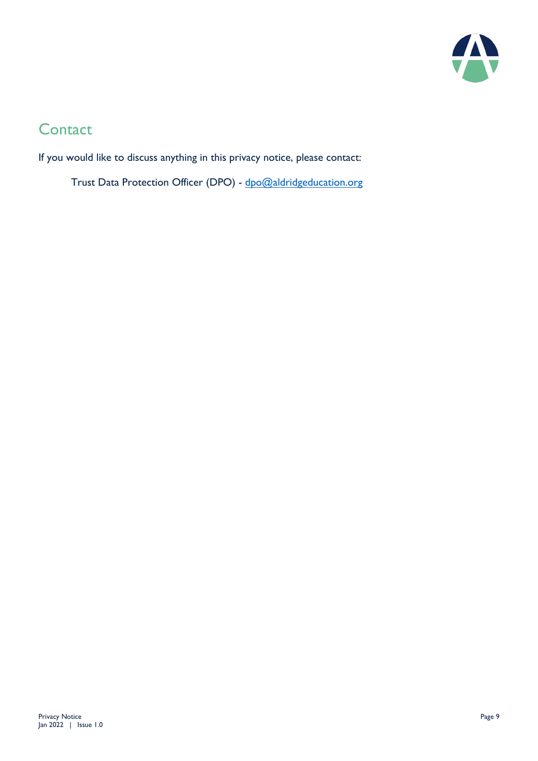

## **Contact**

If you would like to discuss anything in this privacy notice, please contact:

Trust Data Protection Officer (DPO) - [dpo@aldridgeducation.org](mailto:dpo@aldridgeducation.org)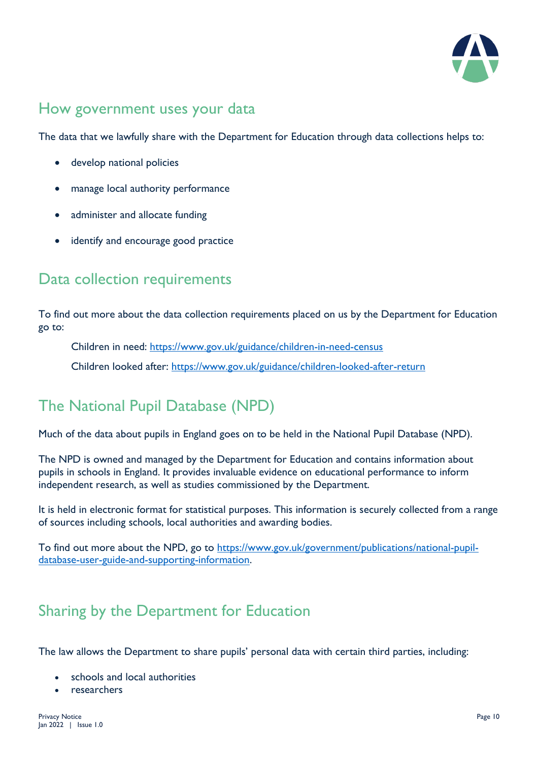

## How government uses your data

The data that we lawfully share with the Department for Education through data collections helps to:

- develop national policies
- manage local authority performance
- administer and allocate funding
- identify and encourage good practice

#### Data collection requirements

To find out more about the data collection requirements placed on us by the Department for Education go to:

Children in need:<https://www.gov.uk/guidance/children-in-need-census>

Children looked after:<https://www.gov.uk/guidance/children-looked-after-return>

## The National Pupil Database (NPD)

Much of the data about pupils in England goes on to be held in the National Pupil Database (NPD).

The NPD is owned and managed by the Department for Education and contains information about pupils in schools in England. It provides invaluable evidence on educational performance to inform independent research, as well as studies commissioned by the Department.

It is held in electronic format for statistical purposes. This information is securely collected from a range of sources including schools, local authorities and awarding bodies.

To find out more about the NPD, go to [https://www.gov.uk/government/publications/national-pupil](https://www.gov.uk/government/publications/national-pupil-database-user-guide-and-supporting-information)[database-user-guide-and-supporting-information.](https://www.gov.uk/government/publications/national-pupil-database-user-guide-and-supporting-information)

## Sharing by the Department for Education

The law allows the Department to share pupils' personal data with certain third parties, including:

- schools and local authorities
- researchers